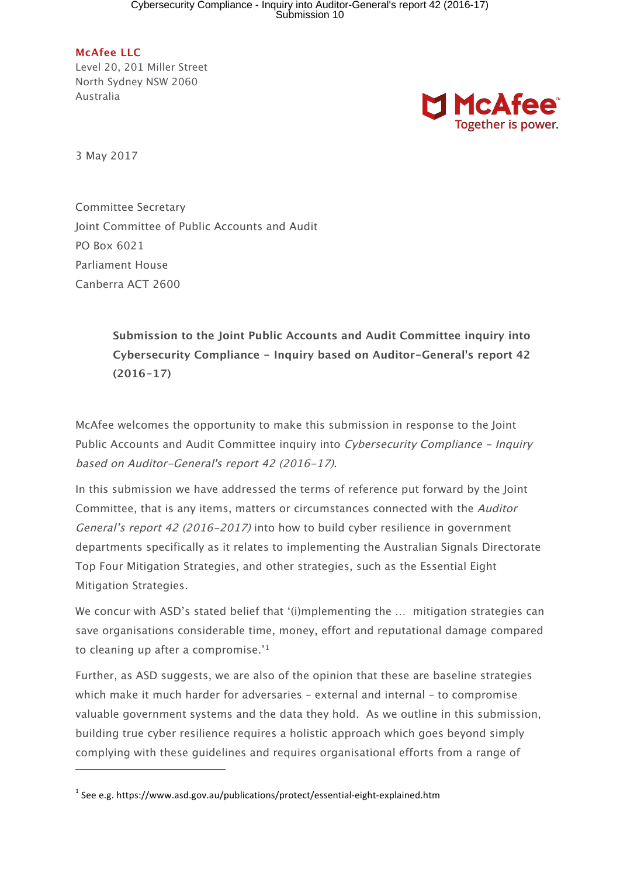**McAfee LLC** Level 20, 201 Miller Street North Sydney NSW 2060 Australia



3 May 2017

j

Committee Secretary Joint Committee of Public Accounts and Audit PO Box 6021 Parliament House Canberra ACT 2600

> **Submission to the Joint Public Accounts and Audit Committee inquiry into Cybersecurity Compliance - Inquiry based on Auditor-General's report 42 (2016-17)**

McAfee welcomes the opportunity to make this submission in response to the Joint Public Accounts and Audit Committee inquiry into Cybersecurity Compliance - Inquiry based on Auditor-General's report 42 (2016-17).

In this submission we have addressed the terms of reference put forward by the Joint Committee, that is any items, matters or circumstances connected with the Auditor General's report 42 (2016-2017) into how to build cyber resilience in government departments specifically as it relates to implementing the Australian Signals Directorate Top Four Mitigation Strategies, and other strategies, such as the Essential Eight Mitigation Strategies.

We concur with ASD's stated belief that '(i)mplementing the ... mitigation strategies can save organisations considerable time, money, effort and reputational damage compared to cleaning up after a compromise.'1

Further, as ASD suggests, we are also of the opinion that these are baseline strategies which make it much harder for adversaries – external and internal – to compromise valuable government systems and the data they hold. As we outline in this submission, building true cyber resilience requires a holistic approach which goes beyond simply complying with these guidelines and requires organisational efforts from a range of

 $1$  See e.g. https://www.asd.gov.au/publications/protect/essential-eight-explained.htm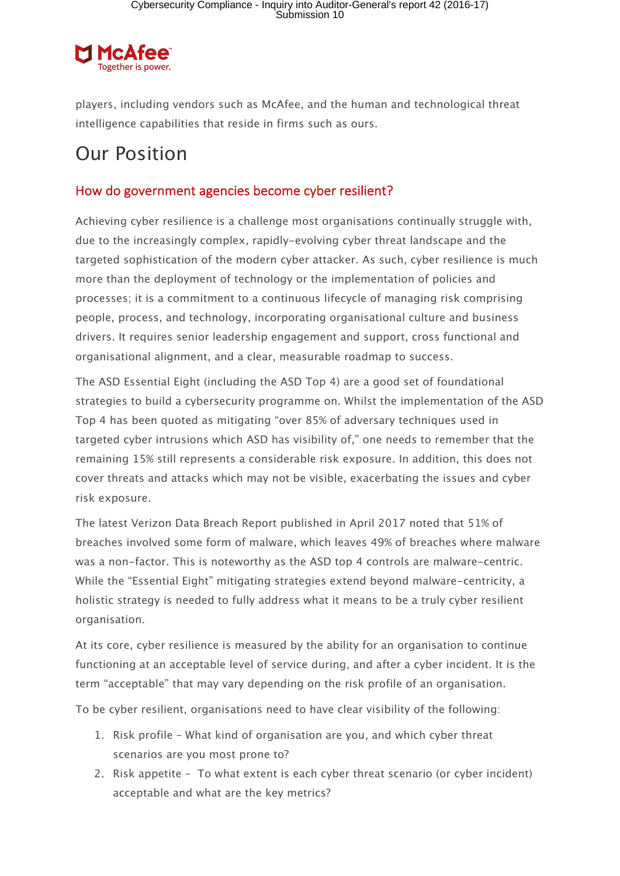

players, including vendors such as McAfee, and the human and technological threat intelligence capabilities that reside in firms such as ours.

## Our Position

#### How do government agencies become cyber resilient?

Achieving cyber resilience is a challenge most organisations continually struggle with, due to the increasingly complex, rapidly-evolving cyber threat landscape and the targeted sophistication of the modern cyber attacker. As such, cyber resilience is much more than the deployment of technology or the implementation of policies and processes; it is a commitment to a continuous lifecycle of managing risk comprising people, process, and technology, incorporating organisational culture and business drivers. It requires senior leadership engagement and support, cross functional and organisational alignment, and a clear, measurable roadmap to success.

The ASD Essential Eight (including the ASD Top 4) are a good set of foundational strategies to build a cybersecurity programme on. Whilst the implementation of the ASD Top 4 has been quoted as mitigating "over 85% of adversary techniques used in targeted cyber intrusions which ASD has visibility of," one needs to remember that the remaining 15% still represents a considerable risk exposure. In addition, this does not cover threats and attacks which may not be visible, exacerbating the issues and cyber risk exposure.

The latest Verizon Data Breach Report published in April 2017 noted that 51% of breaches involved some form of malware, which leaves 49% of breaches where malware was a non-factor. This is noteworthy as the ASD top 4 controls are malware-centric. While the "Essential Eight" mitigating strategies extend beyond malware-centricity, a holistic strategy is needed to fully address what it means to be a truly cyber resilient organisation.

At its core, cyber resilience is measured by the ability for an organisation to continue functioning at an acceptable level of service during, and after a cyber incident. It is the term "acceptable" that may vary depending on the risk profile of an organisation.

To be cyber resilient, organisations need to have clear visibility of the following:

- 1. Risk profile What kind of organisation are you, and which cyber threat scenarios are you most prone to?
- 2. Risk appetite To what extent is each cyber threat scenario (or cyber incident) acceptable and what are the key metrics?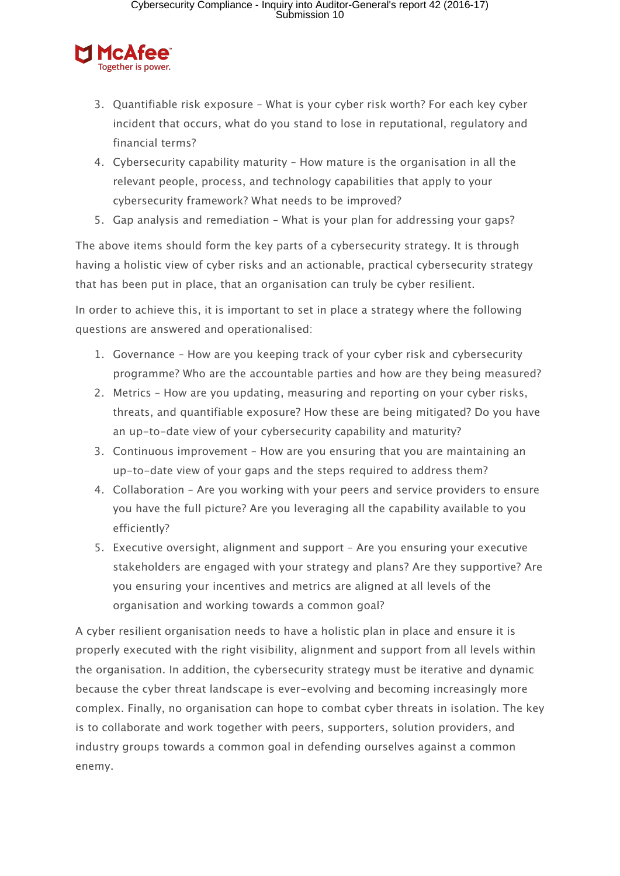

- 3. Quantifiable risk exposure What is your cyber risk worth? For each key cyber incident that occurs, what do you stand to lose in reputational, regulatory and financial terms?
- 4. Cybersecurity capability maturity How mature is the organisation in all the relevant people, process, and technology capabilities that apply to your cybersecurity framework? What needs to be improved?
- 5. Gap analysis and remediation What is your plan for addressing your gaps?

The above items should form the key parts of a cybersecurity strategy. It is through having a holistic view of cyber risks and an actionable, practical cybersecurity strategy that has been put in place, that an organisation can truly be cyber resilient.

In order to achieve this, it is important to set in place a strategy where the following questions are answered and operationalised:

- 1. Governance How are you keeping track of your cyber risk and cybersecurity programme? Who are the accountable parties and how are they being measured?
- 2. Metrics How are you updating, measuring and reporting on your cyber risks, threats, and quantifiable exposure? How these are being mitigated? Do you have an up-to-date view of your cybersecurity capability and maturity?
- 3. Continuous improvement How are you ensuring that you are maintaining an up-to-date view of your gaps and the steps required to address them?
- 4. Collaboration Are you working with your peers and service providers to ensure you have the full picture? Are you leveraging all the capability available to you efficiently?
- 5. Executive oversight, alignment and support Are you ensuring your executive stakeholders are engaged with your strategy and plans? Are they supportive? Are you ensuring your incentives and metrics are aligned at all levels of the organisation and working towards a common goal?

A cyber resilient organisation needs to have a holistic plan in place and ensure it is properly executed with the right visibility, alignment and support from all levels within the organisation. In addition, the cybersecurity strategy must be iterative and dynamic because the cyber threat landscape is ever-evolving and becoming increasingly more complex. Finally, no organisation can hope to combat cyber threats in isolation. The key is to collaborate and work together with peers, supporters, solution providers, and industry groups towards a common goal in defending ourselves against a common enemy.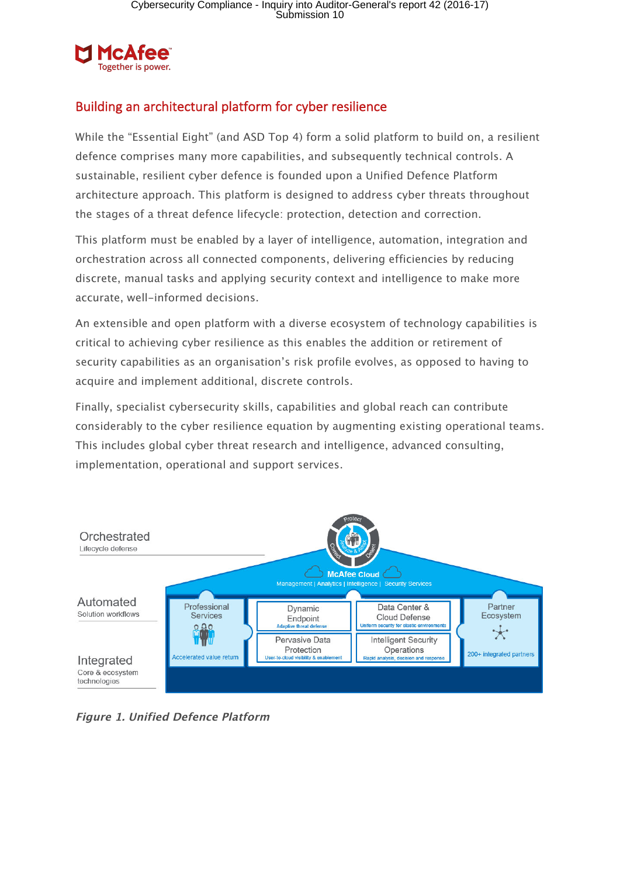

### Building an architectural platform for cyber resilience

While the "Essential Eight" (and ASD Top 4) form a solid platform to build on, a resilient defence comprises many more capabilities, and subsequently technical controls. A sustainable, resilient cyber defence is founded upon a Unified Defence Platform architecture approach. This platform is designed to address cyber threats throughout the stages of a threat defence lifecycle: protection, detection and correction.

This platform must be enabled by a layer of intelligence, automation, integration and orchestration across all connected components, delivering efficiencies by reducing discrete, manual tasks and applying security context and intelligence to make more accurate, well-informed decisions.

An extensible and open platform with a diverse ecosystem of technology capabilities is critical to achieving cyber resilience as this enables the addition or retirement of security capabilities as an organisation's risk profile evolves, as opposed to having to acquire and implement additional, discrete controls.

Finally, specialist cybersecurity skills, capabilities and global reach can contribute considerably to the cyber resilience equation by augmenting existing operational teams. This includes global cyber threat research and intelligence, advanced consulting, implementation, operational and support services.



**Figure 1. Unified Defence Platform**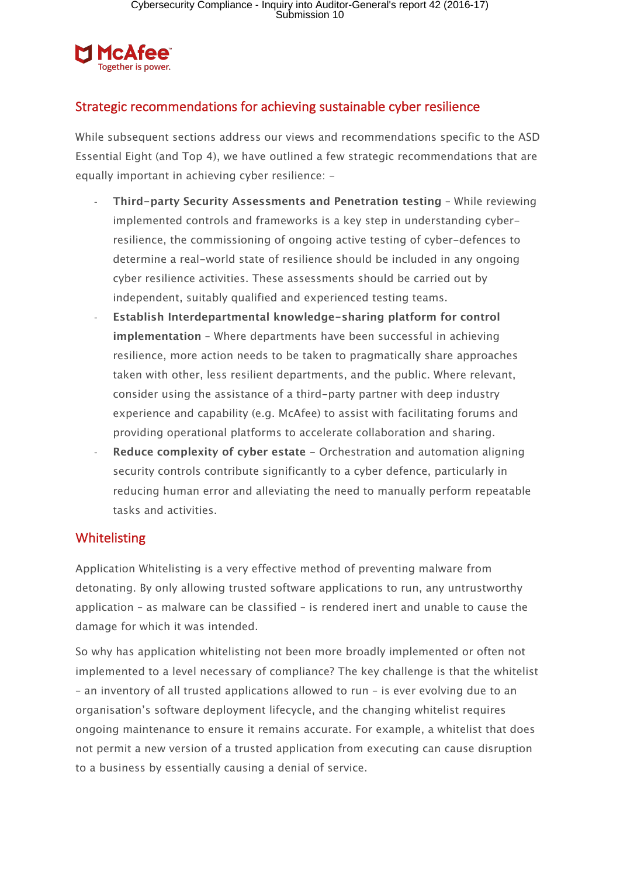

### Strategic recommendations for achieving sustainable cyber resilience

While subsequent sections address our views and recommendations specific to the ASD Essential Eight (and Top 4), we have outlined a few strategic recommendations that are equally important in achieving cyber resilience: -

- **Third-party Security Assessments and Penetration testing** While reviewing implemented controls and frameworks is a key step in understanding cyberresilience, the commissioning of ongoing active testing of cyber-defences to determine a real-world state of resilience should be included in any ongoing cyber resilience activities. These assessments should be carried out by independent, suitably qualified and experienced testing teams.
- **Establish Interdepartmental knowledge-sharing platform for control implementation** – Where departments have been successful in achieving resilience, more action needs to be taken to pragmatically share approaches taken with other, less resilient departments, and the public. Where relevant, consider using the assistance of a third-party partner with deep industry experience and capability (e.g. McAfee) to assist with facilitating forums and providing operational platforms to accelerate collaboration and sharing.
- **Reduce complexity of cyber estate** Orchestration and automation aligning security controls contribute significantly to a cyber defence, particularly in reducing human error and alleviating the need to manually perform repeatable tasks and activities.

#### Whitelisting

Application Whitelisting is a very effective method of preventing malware from detonating. By only allowing trusted software applications to run, any untrustworthy application – as malware can be classified – is rendered inert and unable to cause the damage for which it was intended.

So why has application whitelisting not been more broadly implemented or often not implemented to a level necessary of compliance? The key challenge is that the whitelist – an inventory of all trusted applications allowed to run – is ever evolving due to an organisation's software deployment lifecycle, and the changing whitelist requires ongoing maintenance to ensure it remains accurate. For example, a whitelist that does not permit a new version of a trusted application from executing can cause disruption to a business by essentially causing a denial of service.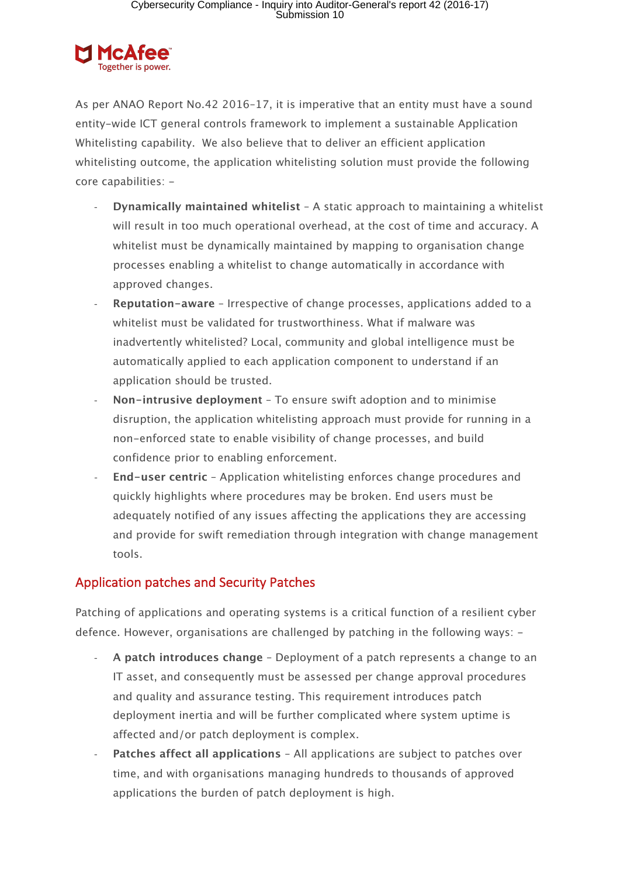

As per ANAO Report No.42 2016–17, it is imperative that an entity must have a sound entity-wide ICT general controls framework to implement a sustainable Application Whitelisting capability. We also believe that to deliver an efficient application whitelisting outcome, the application whitelisting solution must provide the following core capabilities: -

- **Dynamically maintained whitelist** A static approach to maintaining a whitelist will result in too much operational overhead, at the cost of time and accuracy. A whitelist must be dynamically maintained by mapping to organisation change processes enabling a whitelist to change automatically in accordance with approved changes.
- **Reputation-aware** Irrespective of change processes, applications added to a whitelist must be validated for trustworthiness. What if malware was inadvertently whitelisted? Local, community and global intelligence must be automatically applied to each application component to understand if an application should be trusted.
- **Non-intrusive deployment** To ensure swift adoption and to minimise disruption, the application whitelisting approach must provide for running in a non-enforced state to enable visibility of change processes, and build confidence prior to enabling enforcement.
- **End-user centric** Application whitelisting enforces change procedures and quickly highlights where procedures may be broken. End users must be adequately notified of any issues affecting the applications they are accessing and provide for swift remediation through integration with change management tools.

### Application patches and Security Patches

Patching of applications and operating systems is a critical function of a resilient cyber defence. However, organisations are challenged by patching in the following ways: -

- **A patch introduces change** Deployment of a patch represents a change to an IT asset, and consequently must be assessed per change approval procedures and quality and assurance testing. This requirement introduces patch deployment inertia and will be further complicated where system uptime is affected and/or patch deployment is complex.
- **Patches affect all applications All applications are subject to patches over** time, and with organisations managing hundreds to thousands of approved applications the burden of patch deployment is high.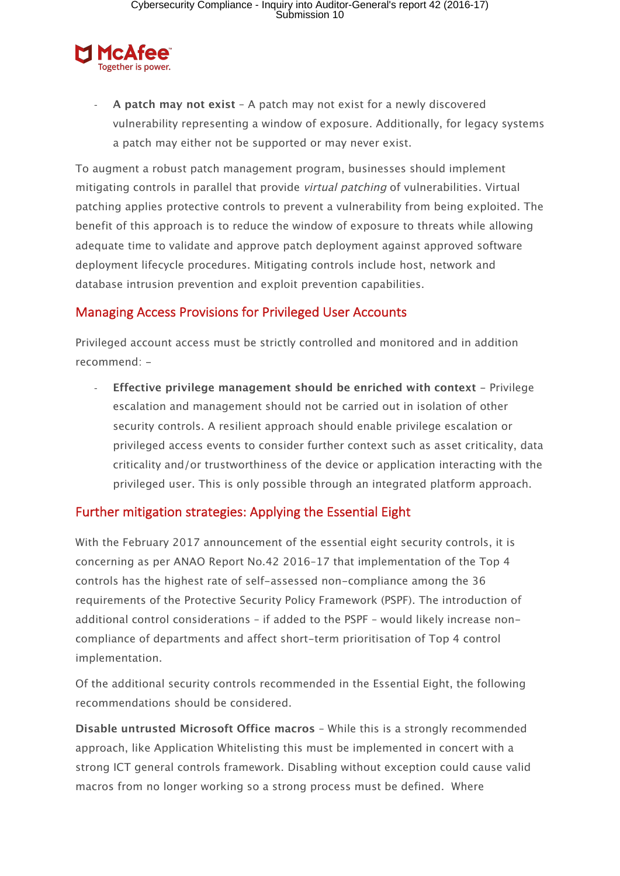

- **A patch may not exist** – A patch may not exist for a newly discovered vulnerability representing a window of exposure. Additionally, for legacy systems a patch may either not be supported or may never exist.

To augment a robust patch management program, businesses should implement mitigating controls in parallel that provide *virtual patching* of vulnerabilities. Virtual patching applies protective controls to prevent a vulnerability from being exploited. The benefit of this approach is to reduce the window of exposure to threats while allowing adequate time to validate and approve patch deployment against approved software deployment lifecycle procedures. Mitigating controls include host, network and database intrusion prevention and exploit prevention capabilities.

#### Managing Access Provisions for Privileged User Accounts

Privileged account access must be strictly controlled and monitored and in addition recommend: -

**Effective privilege management should be enriched with context - Privilege** escalation and management should not be carried out in isolation of other security controls. A resilient approach should enable privilege escalation or privileged access events to consider further context such as asset criticality, data criticality and/or trustworthiness of the device or application interacting with the privileged user. This is only possible through an integrated platform approach.

#### Further mitigation strategies: Applying the Essential Eight

With the February 2017 announcement of the essential eight security controls, it is concerning as per ANAO Report No.42 2016–17 that implementation of the Top 4 controls has the highest rate of self-assessed non-compliance among the 36 requirements of the Protective Security Policy Framework (PSPF). The introduction of additional control considerations – if added to the PSPF – would likely increase noncompliance of departments and affect short-term prioritisation of Top 4 control implementation.

Of the additional security controls recommended in the Essential Eight, the following recommendations should be considered.

**Disable untrusted Microsoft Office macros** – While this is a strongly recommended approach, like Application Whitelisting this must be implemented in concert with a strong ICT general controls framework. Disabling without exception could cause valid macros from no longer working so a strong process must be defined. Where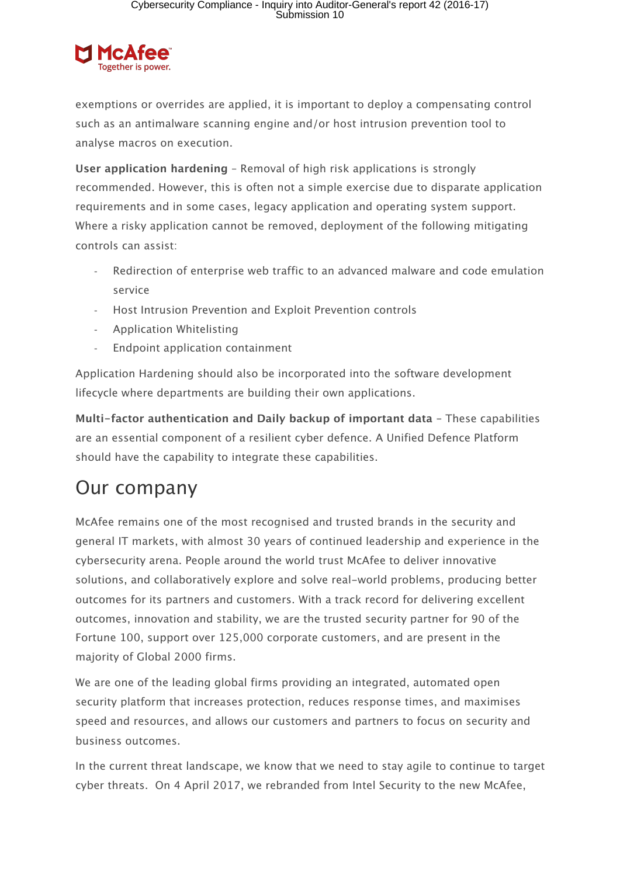

exemptions or overrides are applied, it is important to deploy a compensating control such as an antimalware scanning engine and/or host intrusion prevention tool to analyse macros on execution.

**User application hardening** – Removal of high risk applications is strongly recommended. However, this is often not a simple exercise due to disparate application requirements and in some cases, legacy application and operating system support. Where a risky application cannot be removed, deployment of the following mitigating controls can assist:

- Redirection of enterprise web traffic to an advanced malware and code emulation service
- Host Intrusion Prevention and Exploit Prevention controls
- Application Whitelisting
- Endpoint application containment

Application Hardening should also be incorporated into the software development lifecycle where departments are building their own applications.

**Multi-factor authentication and Daily backup of important data –** These capabilities are an essential component of a resilient cyber defence. A Unified Defence Platform should have the capability to integrate these capabilities.

# Our company

McAfee remains one of the most recognised and trusted brands in the security and general IT markets, with almost 30 years of continued leadership and experience in the cybersecurity arena. People around the world trust McAfee to deliver innovative solutions, and collaboratively explore and solve real-world problems, producing better outcomes for its partners and customers. With a track record for delivering excellent outcomes, innovation and stability, we are the trusted security partner for 90 of the Fortune 100, support over 125,000 corporate customers, and are present in the majority of Global 2000 firms.

We are one of the leading global firms providing an integrated, automated open security platform that increases protection, reduces response times, and maximises speed and resources, and allows our customers and partners to focus on security and business outcomes.

In the current threat landscape, we know that we need to stay agile to continue to target cyber threats. On 4 April 2017, we rebranded from Intel Security to the new McAfee,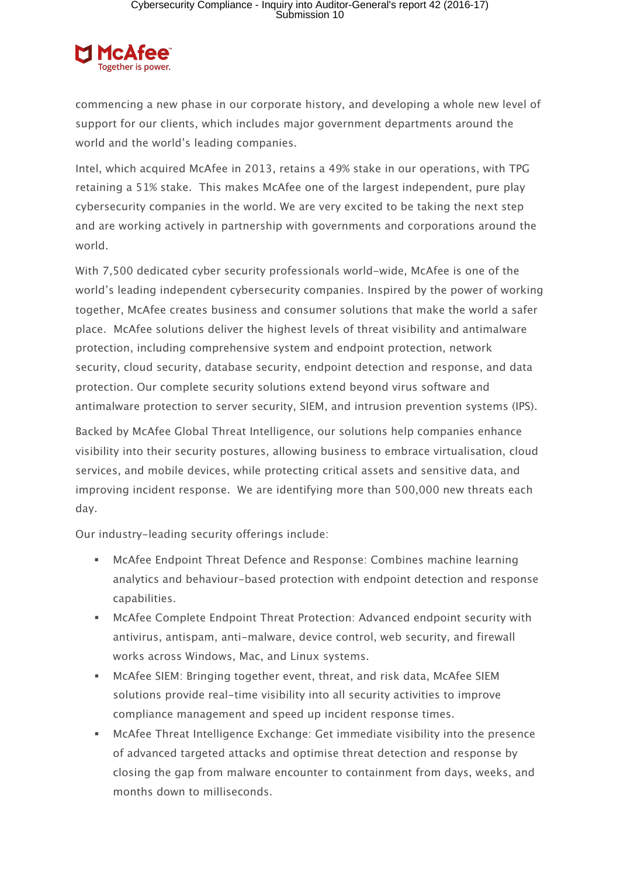

commencing a new phase in our corporate history, and developing a whole new level of support for our clients, which includes major government departments around the world and the world's leading companies.

Intel, which acquired McAfee in 2013, retains a 49% stake in our operations, with TPG retaining a 51% stake. This makes McAfee one of the largest independent, pure play cybersecurity companies in the world. We are very excited to be taking the next step and are working actively in partnership with governments and corporations around the world.

With 7,500 dedicated cyber security professionals world-wide, McAfee is one of the world's leading independent cybersecurity companies. Inspired by the power of working together, McAfee creates business and consumer solutions that make the world a safer place. McAfee solutions deliver the highest levels of threat visibility and antimalware protection, including comprehensive system and endpoint protection, network security, cloud security, database security, endpoint detection and response, and data protection. Our complete security solutions extend beyond virus software and antimalware protection to server security, SIEM, and intrusion prevention systems (IPS).

Backed by McAfee Global Threat Intelligence, our solutions help companies enhance visibility into their security postures, allowing business to embrace virtualisation, cloud services, and mobile devices, while protecting critical assets and sensitive data, and improving incident response. We are identifying more than 500,000 new threats each day.

Our industry-leading security offerings include:

- § McAfee Endpoint Threat Defence and Response: Combines machine learning analytics and behaviour-based protection with endpoint detection and response capabilities.
- § McAfee Complete Endpoint Threat Protection: Advanced endpoint security with antivirus, antispam, anti-malware, device control, web security, and firewall works across Windows, Mac, and Linux systems.
- § McAfee SIEM: Bringing together event, threat, and risk data, McAfee SIEM solutions provide real-time visibility into all security activities to improve compliance management and speed up incident response times.
- McAfee Threat Intelligence Exchange: Get immediate visibility into the presence of advanced targeted attacks and optimise threat detection and response by closing the gap from malware encounter to containment from days, weeks, and months down to milliseconds.